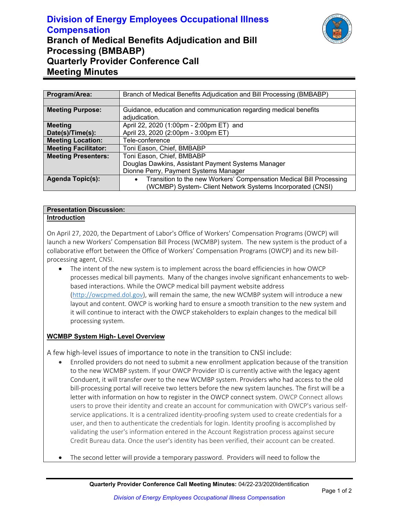# **Division of Energy Employees Occupational Illness Compensation Branch of Medical Benefits Adjudication and Bill Processing (BMBABP) Quarterly Provider Conference Call Meeting Minutes**



| Program/Area:               | Branch of Medical Benefits Adjudication and Bill Processing (BMBABP)             |
|-----------------------------|----------------------------------------------------------------------------------|
|                             |                                                                                  |
| <b>Meeting Purpose:</b>     | Guidance, education and communication regarding medical benefits                 |
|                             | adjudication.                                                                    |
| <b>Meeting</b>              | April 22, 2020 (1:00pm - 2:00pm ET) and                                          |
| Date(s)/Time(s):            | April 23, 2020 (2:00pm - 3:00pm ET)                                              |
| <b>Meeting Location:</b>    | Tele-conference                                                                  |
| <b>Meeting Facilitator:</b> | Toni Eason, Chief, BMBABP                                                        |
| <b>Meeting Presenters:</b>  | Toni Eason, Chief, BMBABP                                                        |
|                             | Douglas Dawkins, Assistant Payment Systems Manager                               |
|                             | Dionne Perry, Payment Systems Manager                                            |
| <b>Agenda Topic(s):</b>     | Transition to the new Workers' Compensation Medical Bill Processing<br>$\bullet$ |
|                             | (WCMBP) System- Client Network Systems Incorporated (CNSI)                       |

#### **Presentation Discussion: Introduction**

On April 27, 2020, the Department of Labor's Office of Workers' Compensation Programs (OWCP) will launch a new Workers' Compensation Bill Process (WCMBP) system. The new system is the product of a collaborative effort between the Office of Workers' Compensation Programs (OWCP) and its new billprocessing agent, CNSI.

• The intent of the new system is to implement across the board efficiencies in how OWCP processes medical bill payments. Many of the changes involve significant enhancements to webbased interactions. While the OWCP medical bill payment website address [\(http://owcpmed.dol.gov\)](http://owcpmed.dol.gov/), will remain the same, the new WCMBP system will introduce a new layout and content. OWCP is working hard to ensure a smooth transition to the new system and it will continue to interact with the OWCP stakeholders to explain changes to the medical bill processing system.

## **WCMBP System High- Level Overview**

A few high-level issues of importance to note in the transition to CNSI include:

- Enrolled providers do not need to submit a new enrollment application because of the transition to the new WCMBP system. If your OWCP Provider ID is currently active with the legacy agent Conduent, it will transfer over to the new WCMBP system. Providers who had access to the old bill-processing portal will receive two letters before the new system launches. The first will be a letter with information on how to register in the OWCP connect system. OWCP Connect allows users to prove their identity and create an account for communication with OWCP's various selfservice applications. It is a centralized identity-proofing system used to create credentials for a user, and then to authenticate the credentials for login. Identity proofing is accomplished by validating the user's information entered in the Account Registration process against secure Credit Bureau data. Once the user's identity has been verified, their account can be created.
- The second letter will provide a temporary password. Providers will need to follow the